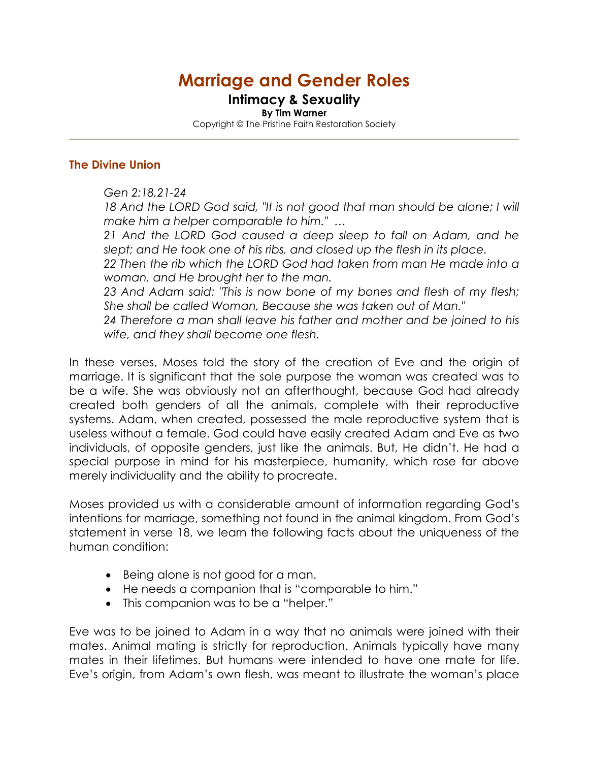# Marriage and Gender Roles

# Intimacy & Sexuality

By Tim Warner Copyright © The Pristine Faith Restoration Society

#### The Divine Union

*Gen 2:18,21-24* 

18 And the LORD God said, "It is not good that man should be alone; I will *make him a helper comparable to him." …*

*21 And the LORD God caused a deep sleep to fall on Adam, and he slept; and He took one of his ribs, and closed up the flesh in its place.* 

*22 Then the rib which the LORD God had taken from man He made into a woman, and He brought her to the man.* 

*23 And Adam said: "This is now bone of my bones and flesh of my flesh; She shall be called Woman, Because she was taken out of Man."* 

*24 Therefore a man shall leave his father and mother and be joined to his wife, and they shall become one flesh.* 

In these verses, Moses told the story of the creation of Eve and the origin of marriage. It is significant that the sole purpose the woman was created was to be a wife. She was obviously not an afterthought, because God had already created both genders of all the animals, complete with their reproductive systems. Adam, when created, possessed the male reproductive system that is useless without a female. God could have easily created Adam and Eve as two individuals, of opposite genders, just like the animals. But, He didn't. He had a special purpose in mind for his masterpiece, humanity, which rose far above merely individuality and the ability to procreate.

Moses provided us with a considerable amount of information regarding God's intentions for marriage, something not found in the animal kingdom. From God's statement in verse 18, we learn the following facts about the uniqueness of the human condition:

- Being alone is not good for a man.
- He needs a companion that is "comparable to him."
- This companion was to be a "helper."

Eve was to be joined to Adam in a way that no animals were joined with their mates. Animal mating is strictly for reproduction. Animals typically have many mates in their lifetimes. But humans were intended to have one mate for life. Eve's origin, from Adam's own flesh, was meant to illustrate the woman's place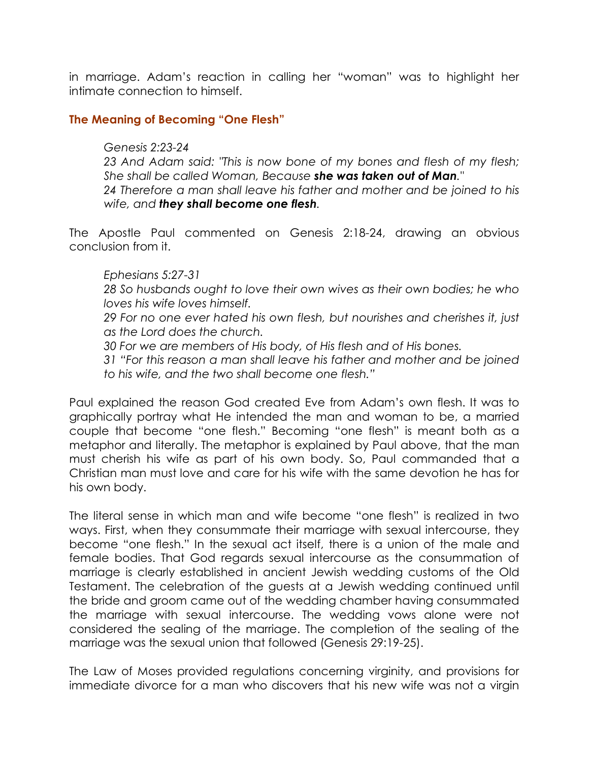in marriage. Adam's reaction in calling her "woman" was to highlight her intimate connection to himself.

### The Meaning of Becoming "One Flesh"

#### *Genesis 2:23-24*

*23 And Adam said: "This is now bone of my bones and flesh of my flesh; She shall be called Woman, Because* she was taken out of Man*."* 

*24 Therefore a man shall leave his father and mother and be joined to his wife, and* they shall become one flesh*.* 

The Apostle Paul commented on Genesis 2:18-24, drawing an obvious conclusion from it.

#### *Ephesians 5:27-31*

*28 So husbands ought to love their own wives as their own bodies; he who loves his wife loves himself.* 

*29 For no one ever hated his own flesh, but nourishes and cherishes it, just as the Lord does the church.* 

*30 For we are members of His body, of His flesh and of His bones.* 

*31 "For this reason a man shall leave his father and mother and be joined to his wife, and the two shall become one flesh."* 

Paul explained the reason God created Eve from Adam's own flesh. It was to graphically portray what He intended the man and woman to be, a married couple that become "one flesh." Becoming "one flesh" is meant both as a metaphor and literally. The metaphor is explained by Paul above, that the man must cherish his wife as part of his own body. So, Paul commanded that a Christian man must love and care for his wife with the same devotion he has for his own body.

The literal sense in which man and wife become "one flesh" is realized in two ways. First, when they consummate their marriage with sexual intercourse, they become "one flesh." In the sexual act itself, there is a union of the male and female bodies. That God regards sexual intercourse as the consummation of marriage is clearly established in ancient Jewish wedding customs of the Old Testament. The celebration of the guests at a Jewish wedding continued until the bride and groom came out of the wedding chamber having consummated the marriage with sexual intercourse. The wedding vows alone were not considered the sealing of the marriage. The completion of the sealing of the marriage was the sexual union that followed (Genesis 29:19-25).

The Law of Moses provided regulations concerning virginity, and provisions for immediate divorce for a man who discovers that his new wife was not a virgin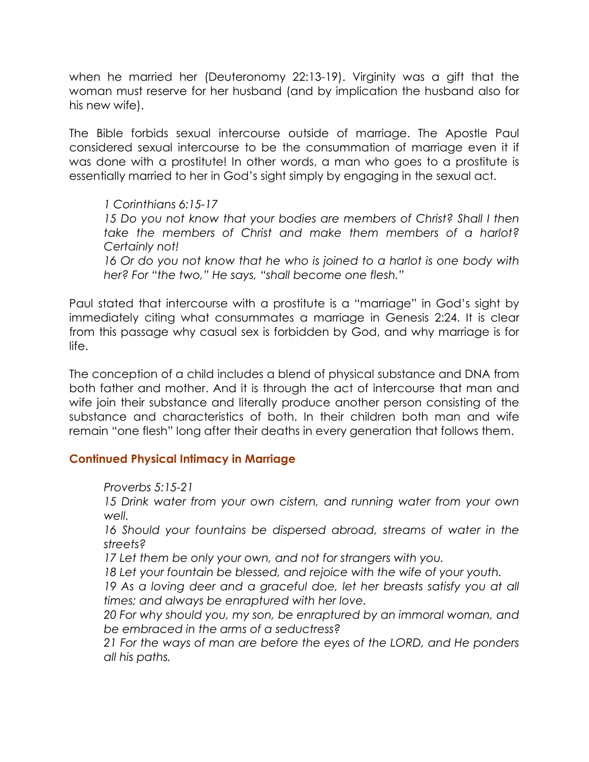when he married her (Deuteronomy 22:13-19). Virginity was a gift that the woman must reserve for her husband (and by implication the husband also for his new wife).

The Bible forbids sexual intercourse outside of marriage. The Apostle Paul considered sexual intercourse to be the consummation of marriage even it if was done with a prostitute! In other words, a man who goes to a prostitute is essentially married to her in God's sight simply by engaging in the sexual act.

*1 Corinthians 6:15-17 15 Do you not know that your bodies are members of Christ? Shall I then take the members of Christ and make them members of a harlot? Certainly not!* 

16 Or do you not know that he who is joined to a harlot is one body with *her? For "the two," He says, "shall become one flesh."* 

Paul stated that intercourse with a prostitute is a "marriage" in God's sight by immediately citing what consummates a marriage in Genesis 2:24. It is clear from this passage why casual sex is forbidden by God, and why marriage is for life.

The conception of a child includes a blend of physical substance and DNA from both father and mother. And it is through the act of intercourse that man and wife join their substance and literally produce another person consisting of the substance and characteristics of both. In their children both man and wife remain "one flesh" long after their deaths in every generation that follows them.

# Continued Physical Intimacy in Marriage

*Proverbs 5:15-21* 

*15 Drink water from your own cistern, and running water from your own well.* 

*16 Should your fountains be dispersed abroad, streams of water in the streets?* 

*17 Let them be only your own, and not for strangers with you.* 

*18 Let your fountain be blessed, and rejoice with the wife of your youth.* 

19 As a loving deer and a graceful doe, let her breasts satisfy you at all *times; and always be enraptured with her love.* 

*20 For why should you, my son, be enraptured by an immoral woman, and be embraced in the arms of a seductress?* 

*21 For the ways of man are before the eyes of the LORD, and He ponders all his paths.*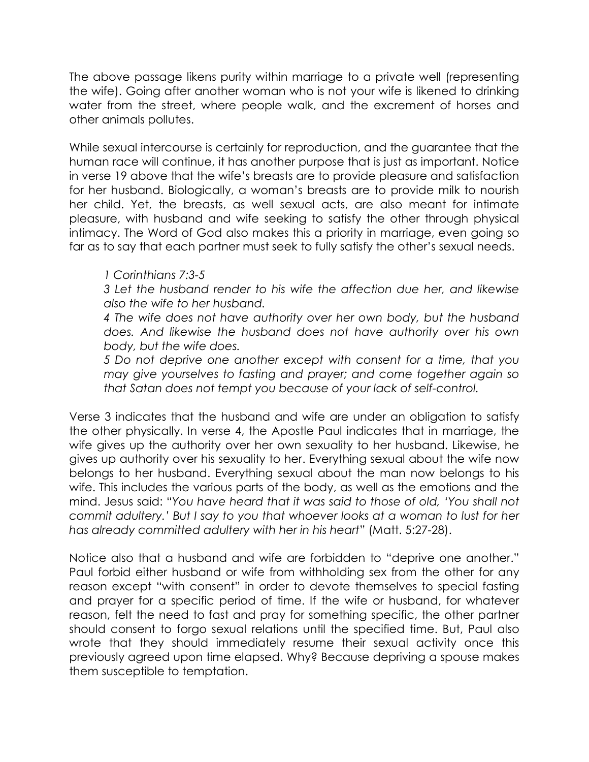The above passage likens purity within marriage to a private well (representing the wife). Going after another woman who is not your wife is likened to drinking water from the street, where people walk, and the excrement of horses and other animals pollutes.

While sexual intercourse is certainly for reproduction, and the guarantee that the human race will continue, it has another purpose that is just as important. Notice in verse 19 above that the wife's breasts are to provide pleasure and satisfaction for her husband. Biologically, a woman's breasts are to provide milk to nourish her child. Yet, the breasts, as well sexual acts, are also meant for intimate pleasure, with husband and wife seeking to satisfy the other through physical intimacy. The Word of God also makes this a priority in marriage, even going so far as to say that each partner must seek to fully satisfy the other's sexual needs.

## *1 Corinthians 7:3-5*

*3 Let the husband render to his wife the affection due her, and likewise also the wife to her husband.* 

*4 The wife does not have authority over her own body, but the husband does. And likewise the husband does not have authority over his own body, but the wife does.* 

*5 Do not deprive one another except with consent for a time, that you may give yourselves to fasting and prayer; and come together again so that Satan does not tempt you because of your lack of self-control.* 

Verse 3 indicates that the husband and wife are under an obligation to satisfy the other physically. In verse 4, the Apostle Paul indicates that in marriage, the wife gives up the authority over her own sexuality to her husband. Likewise, he gives up authority over his sexuality to her. Everything sexual about the wife now belongs to her husband. Everything sexual about the man now belongs to his wife. This includes the various parts of the body, as well as the emotions and the mind. Jesus said: "*You have heard that it was said to those of old, 'You shall not commit adultery.' But I say to you that whoever looks at a woman to lust for her has already committed adultery with her in his heart*" (Matt. 5:27-28).

Notice also that a husband and wife are forbidden to "deprive one another." Paul forbid either husband or wife from withholding sex from the other for any reason except "with consent" in order to devote themselves to special fasting and prayer for a specific period of time. If the wife or husband, for whatever reason, felt the need to fast and pray for something specific, the other partner should consent to forgo sexual relations until the specified time. But, Paul also wrote that they should immediately resume their sexual activity once this previously agreed upon time elapsed. Why? Because depriving a spouse makes them susceptible to temptation.